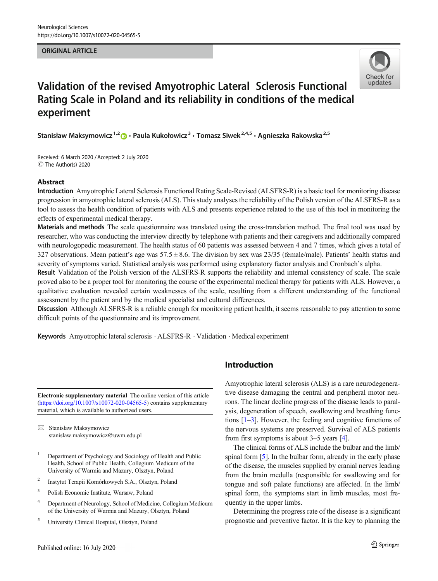#### **ORIGINAL ARTICLE** ORIGINAL ARTICLE



# Validation of the revised Amyotrophic Lateral Sclerosis Functional Rating Scale in Poland and its reliability in conditions of the medical experiment

Stanisław Maksymowicz<sup>1,2</sup>  $\odot$  · Paula Kukołowicz<sup>3</sup> · Tomasz Siwek<sup>2,4,5</sup> · Agnieszka Rakowska<sup>2,5</sup>

Received: 6 March 2020 /Accepted: 2 July 2020  $\circledcirc$  The Author(s) 2020

#### Abstract

Introduction Amyotrophic Lateral Sclerosis Functional Rating Scale-Revised (ALSFRS-R) is a basic tool for monitoring disease progression in amyotrophic lateral sclerosis (ALS). This study analyses the reliability of the Polish version of the ALSFRS-R as a tool to assess the health condition of patients with ALS and presents experience related to the use of this tool in monitoring the effects of experimental medical therapy.

Materials and methods The scale questionnaire was translated using the cross-translation method. The final tool was used by researcher, who was conducting the interview directly by telephone with patients and their caregivers and additionally compared with neurologopedic measurement. The health status of 60 patients was assessed between 4 and 7 times, which gives a total of 327 observations. Mean patient's age was  $57.5 \pm 8.6$ . The division by sex was  $23/35$  (female/male). Patients' health status and severity of symptoms varied. Statistical analysis was performed using explanatory factor analysis and Cronbach's alpha.

Result Validation of the Polish version of the ALSFRS-R supports the reliability and internal consistency of scale. The scale proved also to be a proper tool for monitoring the course of the experimental medical therapy for patients with ALS. However, a qualitative evaluation revealed certain weaknesses of the scale, resulting from a different understanding of the functional assessment by the patient and by the medical specialist and cultural differences.

Discussion Although ALSFRS-R is a reliable enough for monitoring patient health, it seems reasonable to pay attention to some difficult points of the questionnaire and its improvement.

Keywords Amyotrophic lateral sclerosis . ALSFRS-R . Validation . Medical experiment

Electronic supplementary material The online version of this article ([https://doi.org/10.1007/s10072-020-04565-5\)](https://doi.org/10.1007/s10072-020-04565-5) contains supplementary material, which is available to authorized users.

 $\boxtimes$  Stanisław Maksymowicz [stanislaw.maksymowicz@uwm.edu.pl](mailto:stanislaw.maksymowicz@uwm.edu.pl)

- <sup>1</sup> Department of Psychology and Sociology of Health and Public Health, School of Public Health, Collegium Medicum of the University of Warmia and Mazury, Olsztyn, Poland
- <sup>2</sup> Instytut Terapii Komórkowych S.A., Olsztyn, Poland
- <sup>3</sup> Polish Economic Institute, Warsaw, Poland
- <sup>4</sup> Department of Neurology, School of Medicine, Collegium Medicum of the University of Warmia and Mazury, Olsztyn, Poland
- <sup>5</sup> University Clinical Hospital, Olsztyn, Poland

## Introduction

Amyotrophic lateral sclerosis (ALS) is a rare neurodegenerative disease damaging the central and peripheral motor neurons. The linear decline progress of the disease leads to paralysis, degeneration of speech, swallowing and breathing functions  $[1-3]$  $[1-3]$  $[1-3]$ . However, the feeling and cognitive functions of the nervous systems are preserved. Survival of ALS patients from first symptoms is about 3–5 years [[4\]](#page-6-0).

The clinical forms of ALS include the bulbar and the limb/ spinal form [\[5](#page-6-0)]. In the bulbar form, already in the early phase of the disease, the muscles supplied by cranial nerves leading from the brain medulla (responsible for swallowing and for tongue and soft palate functions) are affected. In the limb/ spinal form, the symptoms start in limb muscles, most frequently in the upper limbs.

Determining the progress rate of the disease is a significant prognostic and preventive factor. It is the key to planning the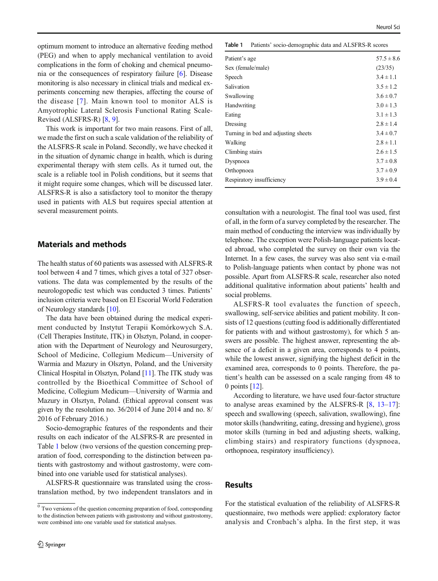Neurol Sci

optimum moment to introduce an alternative feeding method (PEG) and when to apply mechanical ventilation to avoid complications in the form of choking and chemical pneumonia or the consequences of respiratory failure [[6\]](#page-6-0). Disease monitoring is also necessary in clinical trials and medical experiments concerning new therapies, affecting the course of the disease [[7\]](#page-6-0). Main known tool to monitor ALS is Amyotrophic Lateral Sclerosis Functional Rating Scale-Revised (ALSFRS-R) [\[8](#page-6-0), [9](#page-6-0)].

This work is important for two main reasons. First of all, we made the first on such a scale validation of the reliability of the ALSFRS-R scale in Poland. Secondly, we have checked it in the situation of dynamic change in health, which is during experimental therapy with stem cells. As it turned out, the scale is a reliable tool in Polish conditions, but it seems that it might require some changes, which will be discussed later. ALSFRS-R is also a satisfactory tool to monitor the therapy used in patients with ALS but requires special attention at several measurement points.

## Materials and methods

The health status of 60 patients was assessed with ALSFRS-R tool between 4 and 7 times, which gives a total of 327 observations. The data was complemented by the results of the neurologopedic test which was conducted 3 times. Patients' inclusion criteria were based on El Escorial World Federation of Neurology standards [\[10](#page-6-0)].

The data have been obtained during the medical experiment conducted by Instytut Terapii Komórkowych S.A. (Cell Therapies Institute, ITK) in Olsztyn, Poland, in cooperation with the Department of Neurology and Neurosurgery, School of Medicine, Collegium Medicum—University of Warmia and Mazury in Olsztyn, Poland, and the University Clinical Hospital in Olsztyn, Poland [\[11](#page-6-0)]. The ITK study was controlled by the Bioethical Committee of School of Medicine, Collegium Medicum—University of Warmia and Mazury in Olsztyn, Poland. (Ethical approval consent was given by the resolution no. 36/2014 of June 2014 and no. 8/ 2016 of February 2016.)

Socio-demographic features of the respondents and their results on each indicator of the ALSFRS-R are presented in Table 1 below (two versions of the question concerning preparation of food, corresponding to the distinction between patients with gastrostomy and without gastrostomy, were combined into one variable used for statistical analyses).

ALSFRS-R questionnaire was translated using the crosstranslation method, by two independent translators and in

| Table 1<br>Patients' socio-demographic data and ALSFRS-R scores |  |
|-----------------------------------------------------------------|--|
|-----------------------------------------------------------------|--|

| Patient's age                       | $57.5 \pm 8.6$ |
|-------------------------------------|----------------|
| Sex (female/male)                   | (23/35)        |
| Speech                              | $3.4 \pm 1.1$  |
| Salivation                          | $3.5 \pm 1.2$  |
| Swallowing                          | $3.6 \pm 0.7$  |
| Handwriting                         | $3.0 \pm 1.3$  |
| Eating                              | $3.1 \pm 1.3$  |
| Dressing                            | $2.8 \pm 1.4$  |
| Turning in bed and adjusting sheets | $3.4 \pm 0.7$  |
| Walking                             | $2.8 \pm 1.1$  |
| Climbing stairs                     | $2.6 \pm 1.5$  |
| Dyspnoea                            | $3.7 \pm 0.8$  |
| Orthopnoea                          | $3.7 \pm 0.9$  |
| Respiratory insufficiency           | $3.9 \pm 0.4$  |
|                                     |                |

consultation with a neurologist. The final tool was used, first of all, in the form of a survey completed by the researcher. The main method of conducting the interview was individually by telephone. The exception were Polish-language patients located abroad, who completed the survey on their own via the Internet. In a few cases, the survey was also sent via e-mail to Polish-language patients when contact by phone was not possible. Apart from ALSFRS-R scale, researcher also noted additional qualitative information about patients' health and social problems.

ALSFRS-R tool evaluates the function of speech, swallowing, self-service abilities and patient mobility. It consists of 12 questions (cutting food is additionally differentiated for patients with and without gastrostomy), for which 5 answers are possible. The highest answer, representing the absence of a deficit in a given area, corresponds to 4 points, while the lowest answer, signifying the highest deficit in the examined area, corresponds to 0 points. Therefore, the patient's health can be assessed on a scale ranging from 48 to 0 points [\[12\]](#page-6-0).

According to literature, we have used four-factor structure to analyse areas examined by the ALSFRS-R [[8,](#page-6-0) [13](#page-6-0)–[17](#page-6-0)]: speech and swallowing (speech, salivation, swallowing), fine motor skills (handwriting, eating, dressing and hygiene), gross motor skills (turning in bed and adjusting sheets, walking, climbing stairs) and respiratory functions (dyspnoea, orthopnoea, respiratory insufficiency).

## Results

For the statistical evaluation of the reliability of ALSFRS-R questionnaire, two methods were applied: exploratory factor analysis and Cronbach's alpha. In the first step, it was

 $<sup>0</sup>$  Two versions of the question concerning preparation of food, corresponding</sup> to the distinction between patients with gastrostomy and without gastrostomy, were combined into one variable used for statistical analyses.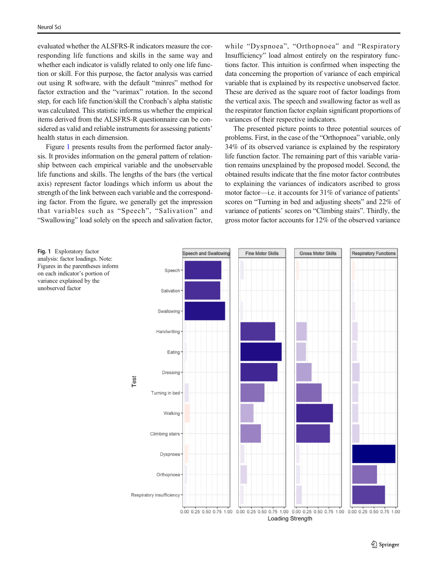evaluated whether the ALSFRS-R indicators measure the corresponding life functions and skills in the same way and whether each indicator is validly related to only one life function or skill. For this purpose, the factor analysis was carried out using R software, with the default "minres" method for factor extraction and the "varimax" rotation. In the second step, for each life function/skill the Cronbach's alpha statistic was calculated. This statistic informs us whether the empirical items derived from the ALSFRS-R questionnaire can be considered as valid and reliable instruments for assessing patients' health status in each dimension.

Figure 1 presents results from the performed factor analysis. It provides information on the general pattern of relationship between each empirical variable and the unobservable life functions and skills. The lengths of the bars (the vertical axis) represent factor loadings which inform us about the strength of the link between each variable and the corresponding factor. From the figure, we generally get the impression that variables such as "Speech", "Salivation" and "Swallowing" load solely on the speech and salivation factor,

while "Dyspnoea", "Orthopnoea" and "Respiratory Insufficiency" load almost entirely on the respiratory functions factor. This intuition is confirmed when inspecting the data concerning the proportion of variance of each empirical variable that is explained by its respective unobserved factor. These are derived as the square root of factor loadings from the vertical axis. The speech and swallowing factor as well as the respirator function factor explain significant proportions of variances of their respective indicators.

The presented picture points to three potential sources of problems. First, in the case of the "Orthopnoea" variable, only 34% of its observed variance is explained by the respiratory life function factor. The remaining part of this variable variation remains unexplained by the proposed model. Second, the obtained results indicate that the fine motor factor contributes to explaining the variances of indicators ascribed to gross motor factor—i.e. it accounts for 31% of variance of patients' scores on "Turning in bed and adjusting sheets" and 22% of variance of patients' scores on "Climbing stairs". Thirdly, the gross motor factor accounts for 12% of the observed variance

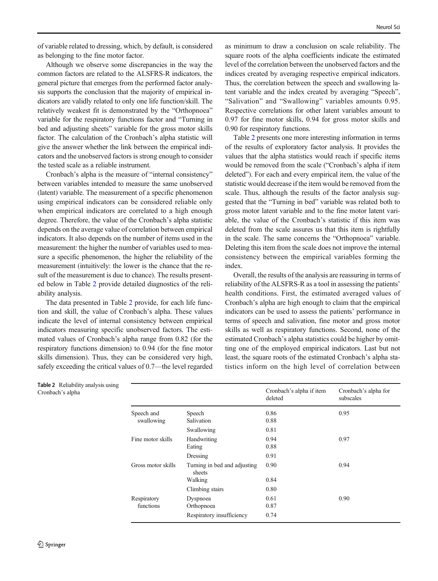of variable related to dressing, which, by default, is considered as belonging to the fine motor factor.

Although we observe some discrepancies in the way the common factors are related to the ALSFRS-R indicators, the general picture that emerges from the performed factor analysis supports the conclusion that the majority of empirical indicators are validly related to only one life function/skill. The relatively weakest fit is demonstrated by the "Orthopnoea" variable for the respiratory functions factor and "Turning in bed and adjusting sheets" variable for the gross motor skills factor. The calculation of the Cronbach's alpha statistic will give the answer whether the link between the empirical indicators and the unobserved factors is strong enough to consider the tested scale as a reliable instrument.

Cronbach's alpha is the measure of "internal consistency" between variables intended to measure the same unobserved (latent) variable. The measurement of a specific phenomenon using empirical indicators can be considered reliable only when empirical indicators are correlated to a high enough degree. Therefore, the value of the Cronbach's alpha statistic depends on the average value of correlation between empirical indicators. It also depends on the number of items used in the measurement: the higher the number of variables used to measure a specific phenomenon, the higher the reliability of the measurement (intuitively: the lower is the chance that the result of the measurement is due to chance). The results presented below in Table 2 provide detailed diagnostics of the reliability analysis.

The data presented in Table 2 provide, for each life function and skill, the value of Cronbach's alpha. These values indicate the level of internal consistency between empirical indicators measuring specific unobserved factors. The estimated values of Cronbach's alpha range from 0.82 (for the respiratory functions dimension) to 0.94 (for the fine motor skills dimension). Thus, they can be considered very high, safely exceeding the critical values of 0.7—the level regarded

as minimum to draw a conclusion on scale reliability. The square roots of the alpha coefficients indicate the estimated level of the correlation between the unobserved factors and the indices created by averaging respective empirical indicators. Thus, the correlation between the speech and swallowing latent variable and the index created by averaging "Speech", "Salivation" and "Swallowing" variables amounts 0.95. Respective correlations for other latent variables amount to 0.97 for fine motor skills, 0.94 for gross motor skills and 0.90 for respiratory functions.

Table 2 presents one more interesting information in terms of the results of exploratory factor analysis. It provides the values that the alpha statistics would reach if specific items would be removed from the scale ("Cronbach's alpha if item deleted"). For each and every empirical item, the value of the statistic would decrease if the item would be removed from the scale. Thus, although the results of the factor analysis suggested that the "Turning in bed" variable was related both to gross motor latent variable and to the fine motor latent variable, the value of the Cronbach's statistic if this item was deleted from the scale assures us that this item is rightfully in the scale. The same concerns the "Orthopnoea" variable. Deleting this item from the scale does not improve the internal consistency between the empirical variables forming the index.

Overall, the results of the analysis are reassuring in terms of reliability of the ALSFRS-R as a tool in assessing the patients' health conditions. First, the estimated averaged values of Cronbach's alpha are high enough to claim that the empirical indicators can be used to assess the patients' performance in terms of speech and salivation, fine motor and gross motor skills as well as respiratory functions. Second, none of the estimated Cronbach's alpha statistics could be higher by omitting one of the employed empirical indicators. Last but not least, the square roots of the estimated Cronbach's alpha statistics inform on the high level of correlation between

|                          |                                        | Cronbach's alpha if item<br>deleted | Cronbach's alpha for<br>subscales |
|--------------------------|----------------------------------------|-------------------------------------|-----------------------------------|
| Speech and<br>swallowing | Speech<br>Salivation                   | 0.86<br>0.88                        | 0.95                              |
|                          | Swallowing                             | 0.81                                |                                   |
| Fine motor skills        | Handwriting<br>Eating                  | 0.94<br>0.88                        | 0.97                              |
|                          | Dressing                               | 0.91                                |                                   |
| Gross motor skills       | Turning in bed and adjusting<br>sheets | 0.90                                | 0.94                              |
|                          | Walking                                | 0.84                                |                                   |
|                          | Climbing stairs                        | 0.80                                |                                   |
| Respiratory<br>functions | Dyspnoea<br>Orthopnoea                 | 0.61<br>0.87                        | 0.90                              |
|                          | Respiratory insufficiency              | 0.74                                |                                   |

Table 2 Reliability analysis using Cronbach's alpha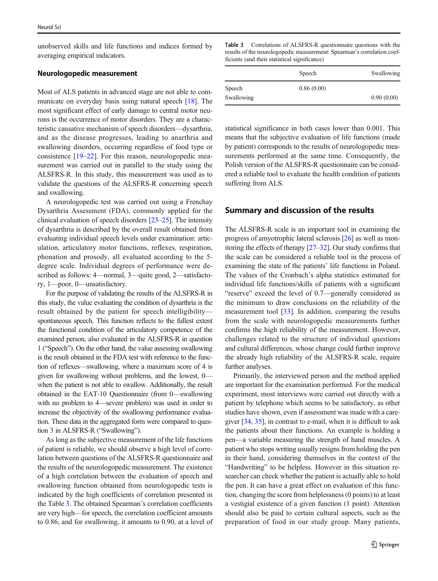unobserved skills and life functions and indices formed by averaging empirical indicators.

#### Neurologopedic measurement

Most of ALS patients in advanced stage are not able to communicate on everyday basis using natural speech [[18\]](#page-6-0). The most significant effect of early damage to central motor neurons is the occurrence of motor disorders. They are a characteristic causative mechanism of speech disorders—dysarthria, and as the disease progresses, leading to anarthria and swallowing disorders, occurring regardless of food type or consistence [\[19](#page-6-0)–[22](#page-6-0)]. For this reason, neurologopedic measurement was carried out in parallel to the study using the ALSFRS-R. In this study, this measurement was used as to validate the questions of the ALSFRS-R concerning speech and swallowing.

A neurologopedic test was carried out using a Frenchay Dysarthria Assessment (FDA), commonly applied for the clinical evaluation of speech disorders [[23](#page-6-0)–[25\]](#page-6-0). The intensity of dysarthria is described by the overall result obtained from evaluating individual speech levels under examination: articulation, articulatory motor functions, reflexes, respiration, phonation and prosody, all evaluated according to the 5 degree scale. Individual degrees of performance were described as follows: 4—normal, 3—quite good, 2—satisfactory, 1—poor, 0—unsatisfactory.

For the purpose of validating the results of the ALSFRS-R in this study, the value evaluating the condition of dysarthria is the result obtained by the patient for speech intelligibility spontaneous speech. This function reflects to the fullest extent the functional condition of the articulatory competence of the examined person, also evaluated in the ALSFRS-R in question 1 ("Speech"). On the other hand, the value assessing swallowing is the result obtained in the FDA test with reference to the function of reflexes—swallowing, where a maximum score of 4 is given for swallowing without problems, and the lowest, 0 when the patient is not able to swallow. Additionally, the result obtained in the EAT-10 Questionnaire (from 0—swallowing with no problem to 4—severe problem) was used in order to increase the objectivity of the swallowing performance evaluation. These data in the aggregated form were compared to question 3 in ALSFRS-R ("Swallowing").

As long as the subjective measurement of the life functions of patient is reliable, we should observe a high level of correlation between questions of the ALSFRS-R questionnaire and the results of the neurologopedic measurement. The existence of a high correlation between the evaluation of speech and swallowing function obtained from neurologopedic tests is indicated by the high coefficients of correlation presented in the Table 3. The obtained Spearman's correlation coefficients are very high—for speech, the correlation coefficient amounts to 0.86, and for swallowing, it amounts to 0.90, at a level of Table 3 Correlations of ALSFRS-R questionnaire questions with the results of the neurologopedic measurement: Spearman's correlation coefficients (and their statistical significance)

|            | Speech     | Swallowing |
|------------|------------|------------|
| Speech     | 0.86(0.00) |            |
| Swallowing |            | 0.90(0.00) |

statistical significance in both cases lower than 0.001. This means that the subjective evaluation of life functions (made by patient) corresponds to the results of neurologopedic measurements performed at the same time. Consequently, the Polish version of the ALSFRS-R questionnaire can be considered a reliable tool to evaluate the health condition of patients suffering from ALS.

#### Summary and discussion of the results

The ALSFRS-R scale is an important tool in examining the progress of amyotrophic lateral sclerosis [\[26\]](#page-6-0) as well as monitoring the effects of therapy [\[27](#page-6-0)–[32\]](#page-6-0). Our study confirms that the scale can be considered a reliable tool in the process of examining the state of the patients' life functions in Poland. The values of the Cronbach's alpha statistics estimated for individual life functions/skills of patients with a significant "reserve" exceed the level of 0.7—generally considered as the minimum to draw conclusions on the reliability of the measurement tool [\[33](#page-6-0)]. In addition, comparing the results from the scale with neurologopedic measurements further confirms the high reliability of the measurement. However, challenges related to the structure of individual questions and cultural differences, whose change could further improve the already high reliability of the ALSFRS-R scale, require further analyses.

Primarily, the interviewed person and the method applied are important for the examination performed. For the medical experiment, most interviews were carried out directly with a patient by telephone which seems to be satisfactory, as other studies have shown, even if assessment was made with a caregiver [[34](#page-6-0), [35](#page-6-0)], in contrast to e-mail, when it is difficult to ask the patients about their functions. An example is holding a pen—a variable measuring the strength of hand muscles. A patient who stops writing usually resigns from holding the pen in their hand, considering themselves in the context of the "Handwriting" to be helpless. However in this situation researcher can check whether the patient is actually able to hold the pen. It can have a great effect on evaluation of this function, changing the score from helplessness (0 points) to at least a vestigial existence of a given function (1 point). Attention should also be paid to certain cultural aspects, such as the preparation of food in our study group. Many patients,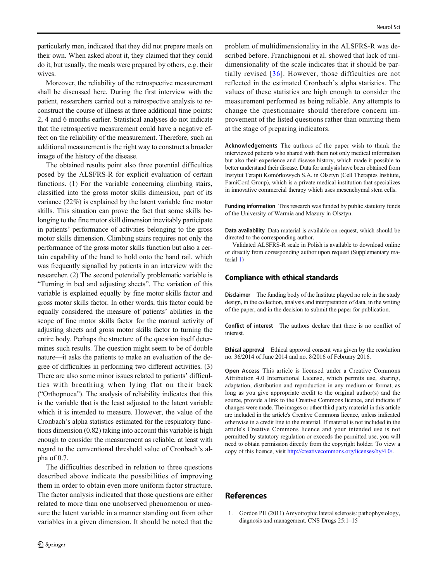<span id="page-5-0"></span>particularly men, indicated that they did not prepare meals on their own. When asked about it, they claimed that they could do it, but usually, the meals were prepared by others, e.g. their wives.

Moreover, the reliability of the retrospective measurement shall be discussed here. During the first interview with the patient, researchers carried out a retrospective analysis to reconstruct the course of illness at three additional time points: 2, 4 and 6 months earlier. Statistical analyses do not indicate that the retrospective measurement could have a negative effect on the reliability of the measurement. Therefore, such an additional measurement is the right way to construct a broader image of the history of the disease.

The obtained results point also three potential difficulties posed by the ALSFRS-R for explicit evaluation of certain functions. (1) For the variable concerning climbing stairs, classified into the gross motor skills dimension, part of its variance (22%) is explained by the latent variable fine motor skills. This situation can prove the fact that some skills belonging to the fine motor skill dimension inevitably participate in patients' performance of activities belonging to the gross motor skills dimension. Climbing stairs requires not only the performance of the gross motor skills function but also a certain capability of the hand to hold onto the hand rail, which was frequently signalled by patients in an interview with the researcher. (2) The second potentially problematic variable is "Turning in bed and adjusting sheets". The variation of this variable is explained equally by fine motor skills factor and gross motor skills factor. In other words, this factor could be equally considered the measure of patients' abilities in the scope of fine motor skills factor for the manual activity of adjusting sheets and gross motor skills factor to turning the entire body. Perhaps the structure of the question itself determines such results. The question might seem to be of double nature—it asks the patients to make an evaluation of the degree of difficulties in performing two different activities. (3) There are also some minor issues related to patients' difficulties with breathing when lying flat on their back ("Orthopnoea"). The analysis of reliability indicates that this is the variable that is the least adjusted to the latent variable which it is intended to measure. However, the value of the Cronbach's alpha statistics estimated for the respiratory functions dimension (0.82) taking into account this variable is high enough to consider the measurement as reliable, at least with regard to the conventional threshold value of Cronbach's alpha of 0.7.

The difficulties described in relation to three questions described above indicate the possibilities of improving them in order to obtain even more uniform factor structure. The factor analysis indicated that those questions are either related to more than one unobserved phenomenon or measure the latent variable in a manner standing out from other variables in a given dimension. It should be noted that the

problem of multidimensionality in the ALSFRS-R was described before. Franchignoni et al. showed that lack of unidimensionality of the scale indicates that it should be partially revised [[36](#page-6-0)]. However, those difficulties are not reflected in the estimated Cronbach's alpha statistics. The values of these statistics are high enough to consider the measurement performed as being reliable. Any attempts to change the questionnaire should therefore concern improvement of the listed questions rather than omitting them at the stage of preparing indicators.

Acknowledgements The authors of the paper wish to thank the interviewed patients who shared with them not only medical information but also their experience and disease history, which made it possible to better understand their disease. Data for analysis have been obtained from Instytut Terapii Komórkowych S.A. in Olsztyn (Cell Therapies Institute, FamiCord Group), which is a private medical institution that specializes in innovative commercial therapy which uses mesenchymal stem cells.

Funding information This research was funded by public statutory funds of the University of Warmia and Mazury in Olsztyn.

Data availability Data material is available on request, which should be directed to the corresponding author.

Validated ALSFRS-R scale in Polish is available to download online or directly from corresponding author upon request (Supplementary material 1)

#### Compliance with ethical standards

Disclaimer The funding body of the Institute played no role in the study design, in the collection, analysis and interpretation of data, in the writing of the paper, and in the decision to submit the paper for publication.

Conflict of interest The authors declare that there is no conflict of interest.

Ethical approval Ethical approval consent was given by the resolution no. 36/2014 of June 2014 and no. 8/2016 of February 2016.

Open Access This article is licensed under a Creative Commons Attribution 4.0 International License, which permits use, sharing, adaptation, distribution and reproduction in any medium or format, as long as you give appropriate credit to the original author(s) and the source, provide a link to the Creative Commons licence, and indicate if changes were made. The images or other third party material in this article are included in the article's Creative Commons licence, unless indicated otherwise in a credit line to the material. If material is not included in the article's Creative Commons licence and your intended use is not permitted by statutory regulation or exceeds the permitted use, you will need to obtain permission directly from the copyright holder. To view a copy of this licence, visit [http://creativecommons.org/licenses/by/4.0/.](https://doi.org/)

## References

1. Gordon PH (2011) Amyotrophic lateral sclerosis: pathophysiology, diagnosis and management. CNS Drugs 25:1–15